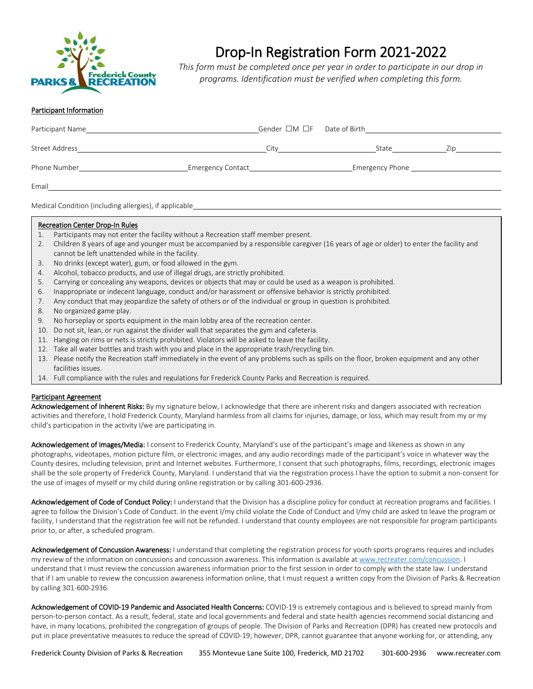

## Drop-In Registration Form 2021-2022

*This form must be completed once per year in order to participate in our drop in programs. Identification must be verified when completing this form.*

## Participant Information

| Participant Name      | Gender $\Box M$ $\Box F$ Date of Birth |                 |     |
|-----------------------|----------------------------------------|-----------------|-----|
| <b>Street Address</b> | City                                   | State           | Zip |
| Phone Number          | <b>Emergency Contact</b>               | Emergency Phone |     |
| Email                 |                                        |                 |     |

Medical Condition (including allergies), if applicable

## Recreation Center Drop-In Rules

- 1. Participants may not enter the facility without a Recreation staff member present.
- 2. Children 8 years of age and younger must be accompanied by a responsible caregiver (16 years of age or older) to enter the facility and cannot be left unattended while in the facility.
- 3. No drinks (except water), gum, or food allowed in the gym.
- 4. Alcohol, tobacco products, and use of illegal drugs, are strictly prohibited.
- 5. Carrying or concealing any weapons, devices or objects that may or could be used as a weapon is prohibited.
- 6. Inappropriate or indecent language, conduct and/or harassment or offensive behavior is strictly prohibited.
- 7. Any conduct that may jeopardize the safety of others or of the individual or group in question is prohibited.
- 8. No organized game play.
- 9. No horseplay or sports equipment in the main lobby area of the recreation center.
- 10. Do not sit, lean, or run against the divider wall that separates the gym and cafeteria.
- 11. Hanging on rims or nets is strictly prohibited. Violators will be asked to leave the facility.
- 12. Take all water bottles and trash with you and place in the appropriate trash/recycling bin.
- 13. Please notify the Recreation staff immediately in the event of any problems such as spills on the floor, broken equipment and any other facilities issues.
- 14. Full compliance with the rules and regulations for Frederick County Parks and Recreation is required.

## Participant Agreement

Acknowledgement of Inherent Risks: By my signature below, I acknowledge that there are inherent risks and dangers associated with recreation activities and therefore, I hold Frederick County, Maryland harmless from all claims for injuries, damage, or loss, which may result from my or my child's participation in the activity I/we are participating in.

Acknowledgement of Images/Media: I consent to Frederick County, Maryland's use of the participant's image and likeness as shown in any photographs, videotapes, motion picture film, or electronic images, and any audio recordings made of the participant's voice in whatever way the County desires, including television, print and Internet websites. Furthermore, I consent that such photographs, films, recordings, electronic images shall be the sole property of Frederick County, Maryland. I understand that via the registration process I have the option to submit a non-consent for the use of images of myself or my child during online registration or by calling 301-600-2936.

Acknowledgement of Code of Conduct Policy: I understand that the Division has a discipline policy for conduct at recreation programs and facilities. I agree to follow the Division's Code of Conduct. In the event I/my child violate the Code of Conduct and I/my child are asked to leave the program or facility, I understand that the registration fee will not be refunded. I understand that county employees are not responsible for program participants prior to, or after, a scheduled program.

Acknowledgement of Concussion Awareness: I understand that completing the registration process for youth sports programs requires and includes my review of the information on concussions and concussion awareness. This information is available at [www.recreater.com/concussion.](http://www.recreater.com/concussion) I understand that I must review the concussion awareness information prior to the first session in order to comply with the state law. I understand that if I am unable to review the concussion awareness information online, that I must request a written copy from the Division of Parks & Recreation by calling 301-600-2936.

Acknowledgement of COVID-19 Pandemic and Associated Health Concerns: COVID-19 is extremely contagious and is believed to spread mainly from person-to-person contact. As a result, federal, state and local governments and federal and state health agencies recommend social distancing and have, in many locations, prohibited the congregation of groups of people. The Division of Parks and Recreation (DPR) has created new protocols and put in place preventative measures to reduce the spread of COVID-19; however, DPR, cannot guarantee that anyone working for, or attending, any